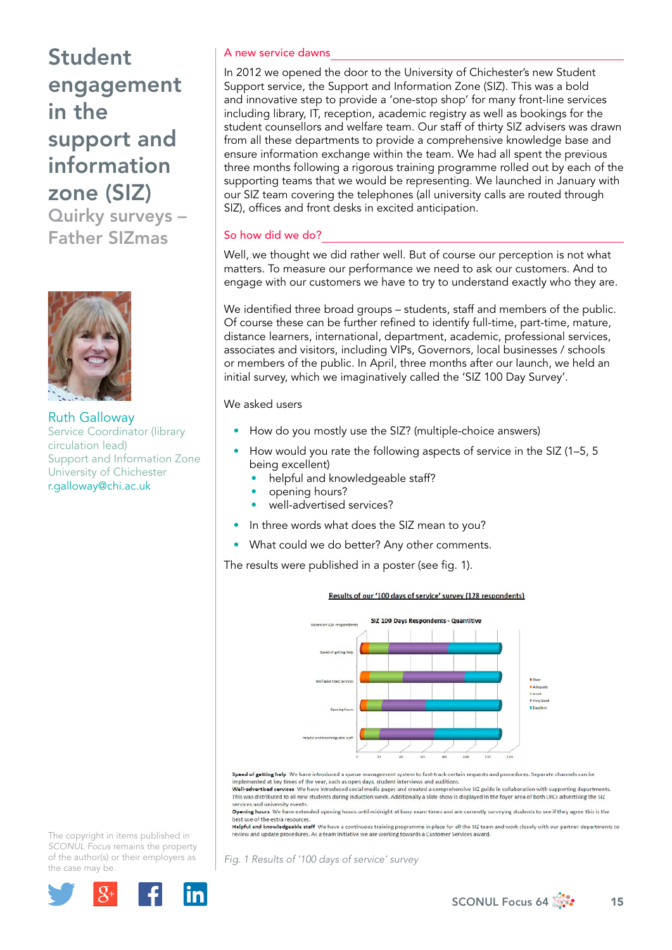Student engagement in the support and information zone (SIZ)

Quirky surveys – Father SIZmas



Ruth Galloway Service Coordinator (library circulation lead) Support and Information Zone University of Chichester r.galloway@chi.ac.uk

## A new service dawns

In 2012 we opened the door to the University of Chichester's new Student Support service, the Support and Information Zone (SIZ). This was a bold and innovative step to provide a 'one-stop shop' for many front-line services including library, IT, reception, academic registry as well as bookings for the student counsellors and welfare team. Our staff of thirty SIZ advisers was drawn from all these departments to provide a comprehensive knowledge base and ensure information exchange within the team. We had all spent the previous three months following a rigorous training programme rolled out by each of the supporting teams that we would be representing. We launched in January with our SIZ team covering the telephones (all university calls are routed through SIZ), offices and front desks in excited anticipation.

## So how did we do?

Well, we thought we did rather well. But of course our perception is not what matters. To measure our performance we need to ask our customers. And to engage with our customers we have to try to understand exactly who they are.

We identified three broad groups – students, staff and members of the public. Of course these can be further refined to identify full-time, part-time, mature, distance learners, international, department, academic, professional services, associates and visitors, including VIPs, Governors, local businesses / schools or members of the public. In April, three months after our launch, we held an initial survey, which we imaginatively called the 'SIZ 100 Day Survey'.

### We asked users

- How do you mostly use the SIZ? (multiple-choice answers)
- How would you rate the following aspects of service in the SIZ (1–5, 5 being excellent)
	- helpful and knowledgeable staff?
	- opening hours?
	- well-advertised services?
- In three words what does the SIZ mean to you?
- What could we do better? Any other comments.

The results were published in a poster (see fig. 1).

#### Results of our '100 days of service' survey (128 respondents)



Speed of getting help We have introduced a queue management system to fast-track certain requests and procedures. Separate channels can be implemented at key times of the year, such as open days, student interviews and auditions.<br>Well-advertised services We have introduced social media pages and created a comprehensive SIZ guide in collaboration with supporti

This was distributed to all new students during induction week. Additionally a slide show is displayed in the foyer area of both LRCs advertising the SIZ services and university events.<br>Opening hours We have extended opening hours until midnight at busy exam times and are currently surveying students to see if they agree this is the

best use of the extra resources

est use of the extra resources.<br>Helpful and knowledgeable staff We have a continuous training programme in place for all the SIZ team and work closely with our partner departments to<br>review and update procedures. As a team

*Fig. 1 Results of '100 days of service' survey* 

The copyright in items published in *SCONUL Focus* remains the property of the author(s) or their employers as the case m[ay be.](http://plus.google.com/share?url=http://www.sconul.ac.uk/page/focus-64)

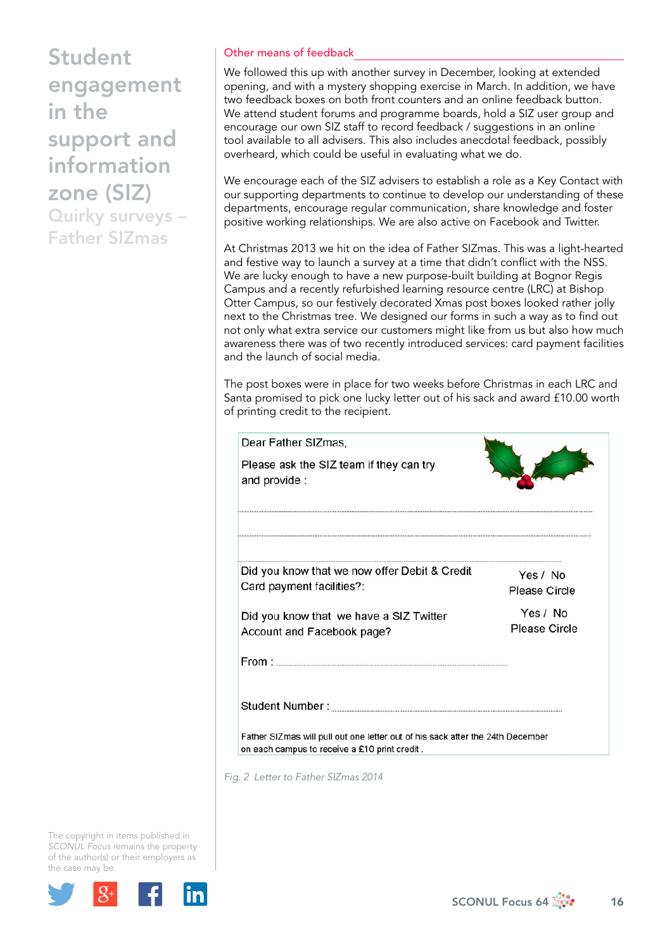Student engagement in the support and information zone (SIZ)

Quirky surveys – Father SIZmas

# Other means of feedback

We followed this up with another survey in December, looking at extended opening, and with a mystery shopping exercise in March. In addition, we have two feedback boxes on both front counters and an online feedback button. We attend student forums and programme boards, hold a SIZ user group and encourage our own SIZ staff to record feedback / suggestions in an online tool available to all advisers. This also includes anecdotal feedback, possibly overheard, which could be useful in evaluating what we do.

We encourage each of the SIZ advisers to establish a role as a Key Contact with our supporting departments to continue to develop our understanding of these departments, encourage regular communication, share knowledge and foster positive working relationships. We are also active on Facebook and Twitter.

At Christmas 2013 we hit on the idea of Father SIZmas. This was a light-hearted and festive way to launch a survey at a time that didn't conflict with the NSS. We are lucky enough to have a new purpose-built building at Bognor Regis Campus and a recently refurbished learning resource centre (LRC) at Bishop Otter Campus, so our festively decorated Xmas post boxes looked rather jolly next to the Christmas tree. We designed our forms in such a way as to find out not only what extra service our customers might like from us but also how much awareness there was of two recently introduced services: card payment facilities and the launch of social media.

The post boxes were in place for two weeks before Christmas in each LRC and Santa promised to pick one lucky letter out of his sack and award £10.00 worth of printing credit to the recipient.

| Dear Father SIZmas,                                                                                                             |                                  |
|---------------------------------------------------------------------------------------------------------------------------------|----------------------------------|
| Please ask the SIZ team if they can try<br>and provide :                                                                        |                                  |
|                                                                                                                                 |                                  |
| Did you know that we now offer Debit & Credit                                                                                   | Yes / No                         |
| Card payment facilities?:                                                                                                       | <b>Please Circle</b>             |
| Did you know that we have a SIZ Twitter                                                                                         | Yes / No<br><b>Please Circle</b> |
| Account and Facebook page?<br>From:                                                                                             |                                  |
| Student Number:                                                                                                                 |                                  |
| Father SIZmas will pull out one letter out of his sack after the 24th December<br>on each campus to receive a £10 print credit. |                                  |

*Fig. 2 Letter to Father SIZmas 2014* 

The copyright in items published in *SCONUL Focus* remains the property of the author(s) or their employers as the case m[ay be.](http://plus.google.com/share?url=http://www.sconul.ac.uk/page/focus-64)